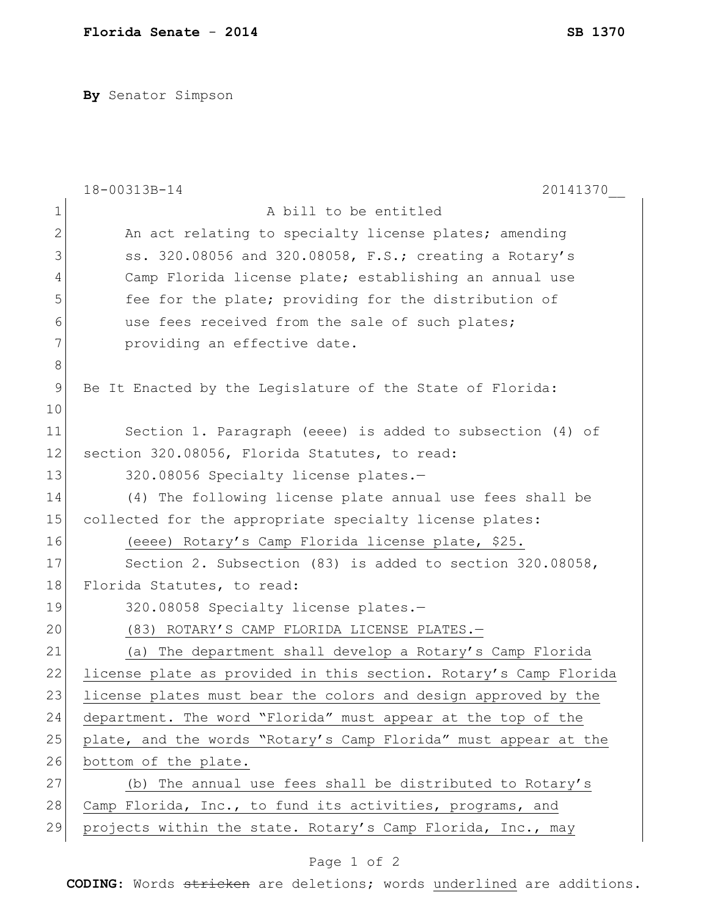**By** Senator Simpson

|             | 18-00313B-14<br>20141370                                         |
|-------------|------------------------------------------------------------------|
| $\mathbf 1$ | A bill to be entitled                                            |
| 2           | An act relating to specialty license plates; amending            |
| 3           | ss. 320.08056 and 320.08058, F.S.; creating a Rotary's           |
| 4           | Camp Florida license plate; establishing an annual use           |
| 5           | fee for the plate; providing for the distribution of             |
| 6           | use fees received from the sale of such plates;                  |
| 7           | providing an effective date.                                     |
| 8           |                                                                  |
| 9           | Be It Enacted by the Legislature of the State of Florida:        |
| 10          |                                                                  |
| 11          | Section 1. Paragraph (eeee) is added to subsection (4) of        |
| 12          | section 320.08056, Florida Statutes, to read:                    |
| 13          | 320.08056 Specialty license plates.-                             |
| 14          | (4) The following license plate annual use fees shall be         |
| 15          | collected for the appropriate specialty license plates:          |
| 16          | (eeee) Rotary's Camp Florida license plate, \$25.                |
| 17          | Section 2. Subsection (83) is added to section 320.08058,        |
| 18          | Florida Statutes, to read:                                       |
| 19          | 320.08058 Specialty license plates.-                             |
| 20          | (83) ROTARY'S CAMP FLORIDA LICENSE PLATES.-                      |
| 21          | (a) The department shall develop a Rotary's Camp Florida         |
| 22          | license plate as provided in this section. Rotary's Camp Florida |
| 23          | license plates must bear the colors and design approved by the   |
| 24          | department. The word "Florida" must appear at the top of the     |
| 25          | plate, and the words "Rotary's Camp Florida" must appear at the  |
| 26          | bottom of the plate.                                             |
| 27          | (b) The annual use fees shall be distributed to Rotary's         |
| 28          | Camp Florida, Inc., to fund its activities, programs, and        |
| 29          | projects within the state. Rotary's Camp Florida, Inc., may      |

## Page 1 of 2

**CODING**: Words stricken are deletions; words underlined are additions.